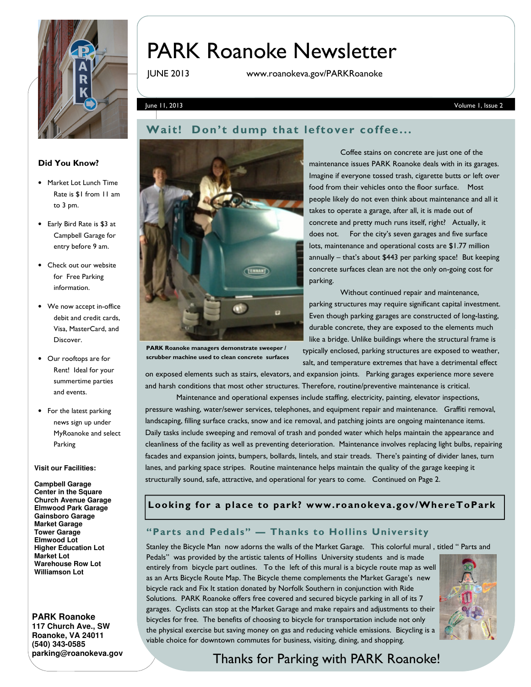

# PARK Roanoke Newsletter

JUNE 2013 www.roanokeva.gov/PARKRoanoke

June 11, 2013 Volume 1, Issue 2

#### Did You Know?

- Market Lot Lunch Time Rate is \$1 from 11 am to 3 pm.
- Early Bird Rate is \$3 at Campbell Garage for entry before 9 am.
- Check out our website for Free Parking information.
- We now accept in-office debit and credit cards, Visa, MasterCard, and Discover.
- Our rooftops are for Rent! Ideal for your summertime parties and events.
- For the latest parking news sign up under MyRoanoke and select Parking

#### **Visit our Facilities:**

**Campbell Garage Center in the Square Church Avenue Garage Elmwood Park Garage Gainsboro Garage Market Garage Tower Garage Elmwood Lot Higher Education Lot Market Lot Warehouse Row Lot Williamson Lot** 

#### **PARK Roanoke**

**117 Church Ave., SW Roanoke, VA 24011 (540) 343-0585 parking@roanokeva.gov** 



PARK Roanoke managers demonstrate sweeper / scrubber machine used to clean concrete surfaces

Coffee stains on concrete are just one of the maintenance issues PARK Roanoke deals with in its garages. Imagine if everyone tossed trash, cigarette butts or left over food from their vehicles onto the floor surface. Most people likely do not even think about maintenance and all it takes to operate a garage, after all, it is made out of concrete and pretty much runs itself, right? Actually, it does not. For the city's seven garages and five surface lots, maintenance and operational costs are \$1.77 million annually – that's about \$443 per parking space! But keeping concrete surfaces clean are not the only on-going cost for parking.

 Without continued repair and maintenance, parking structures may require significant capital investment. Even though parking garages are constructed of long-lasting, durable concrete, they are exposed to the elements much like a bridge. Unlike buildings where the structural frame is typically enclosed, parking structures are exposed to weather, salt, and temperature extremes that have a detrimental effect

on exposed elements such as stairs, elevators, and expansion joints. Parking garages experience more severe and harsh conditions that most other structures. Therefore, routine/preventive maintenance is critical.

 Maintenance and operational expenses include staffing, electricity, painting, elevator inspections, pressure washing, water/sewer services, telephones, and equipment repair and maintenance. Graffiti removal, landscaping, filling surface cracks, snow and ice removal, and patching joints are ongoing maintenance items. Daily tasks include sweeping and removal of trash and ponded water which helps maintain the appearance and cleanliness of the facility as well as preventing deterioration. Maintenance involves replacing light bulbs, repairing facades and expansion joints, bumpers, bollards, lintels, and stair treads. There's painting of divider lanes, turn lanes, and parking space stripes. Routine maintenance helps maintain the quality of the garage keeping it structurally sound, safe, attractive, and operational for years to come. Continued on Page 2.

#### Looking for a place to park? www.roanokeva.gov/WhereToPark

### "Parts and Pedals" — Thanks to Hollins University

Stanley the Bicycle Man now adorns the walls of the Market Garage. This colorful mural , titled " Parts and

Pedals" was provided by the artistic talents of Hollins University students and is made entirely from bicycle part outlines. To the left of this mural is a bicycle route map as well as an Arts Bicycle Route Map. The Bicycle theme complements the Market Garage's new bicycle rack and Fix It station donated by Norfolk Southern in conjunction with Ride Solutions. PARK Roanoke offers free covered and secured bicycle parking in all of its 7 garages. Cyclists can stop at the Market Garage and make repairs and adjustments to their bicycles for free. The benefits of choosing to bicycle for transportation include not only the physical exercise but saving money on gas and reducing vehicle emissions. Bicycling is a viable choice for downtown commutes for business, visiting, dining, and shopping.



# Thanks for Parking with PARK Roanoke!

Wait! Don't dump that leftover coffee...